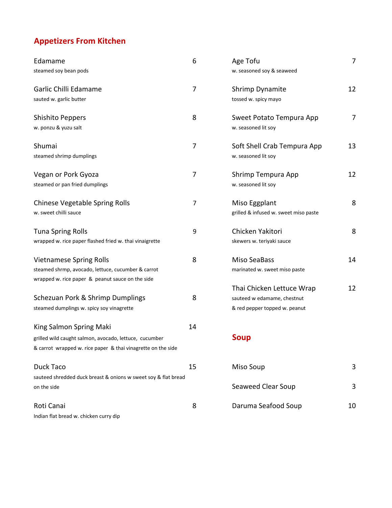# **Appetizers From Kitchen**

| Edamame                                                        | 6              | Age Tofu                              | 7              |
|----------------------------------------------------------------|----------------|---------------------------------------|----------------|
| steamed soy bean pods                                          |                | w. seasoned soy & seaweed             |                |
| Garlic Chilli Edamame                                          | 7              | Shrimp Dynamite                       | 12             |
| sauted w. garlic butter                                        |                | tossed w. spicy mayo                  |                |
| <b>Shishito Peppers</b>                                        | 8              | Sweet Potato Tempura App              | $\overline{7}$ |
| w. ponzu & yuzu salt                                           |                | w. seasoned lit soy                   |                |
| Shumai                                                         | 7              | Soft Shell Crab Tempura App           | 13             |
| steamed shrimp dumplings                                       |                | w. seasoned lit soy                   |                |
| Vegan or Pork Gyoza                                            | 7              | Shrimp Tempura App                    | 12             |
| steamed or pan fried dumplings                                 |                | w. seasoned lit soy                   |                |
| <b>Chinese Vegetable Spring Rolls</b>                          | $\overline{7}$ | Miso Eggplant                         | 8              |
| w. sweet chilli sauce                                          |                | grilled & infused w. sweet miso paste |                |
| <b>Tuna Spring Rolls</b>                                       | 9              | Chicken Yakitori                      | 8              |
| wrapped w. rice paper flashed fried w. thai vinaigrette        |                | skewers w. teriyaki sauce             |                |
| <b>Vietnamese Spring Rolls</b>                                 | 8              | <b>Miso SeaBass</b>                   | 14             |
| steamed shrmp, avocado, lettuce, cucumber & carrot             |                | marinated w. sweet miso paste         |                |
| wrapped w. rice paper & peanut sauce on the side               |                | Thai Chicken Lettuce Wrap             | 12             |
| Schezuan Pork & Shrimp Dumplings                               | 8              | sauteed w edamame, chestnut           |                |
| steamed dumplings w. spicy soy vinagrette                      |                | & red pepper topped w. peanut         |                |
| King Salmon Spring Maki                                        | 14             |                                       |                |
| grilled wild caught salmon, avocado, lettuce, cucumber         |                | <b>Soup</b>                           |                |
| & carrot wrapped w. rice paper & thai vinagrette on the side   |                |                                       |                |
| Duck Taco                                                      | 15             | Miso Soup                             | 3              |
| sauteed shredded duck breast & onions w sweet soy & flat bread |                |                                       |                |
| on the side                                                    |                | Seaweed Clear Soup                    | 3              |
| Roti Canai                                                     | 8              | Daruma Seafood Soup                   | 10             |
| Indian flat bread w. chicken curry dip                         |                |                                       |                |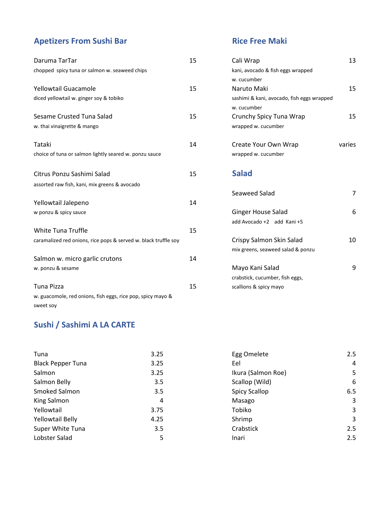# **Apetizers From Sushi Bar Rice Free Maki**

| Daruma TarTar                                                   | 15 | Cali Wrap                                  | 13     |
|-----------------------------------------------------------------|----|--------------------------------------------|--------|
| chopped spicy tuna or salmon w. seaweed chips                   |    | kani, avocado & fish eggs wrapped          |        |
|                                                                 |    | w. cucumber                                |        |
| Yellowtail Guacamole                                            | 15 | Naruto Maki                                | 15     |
| diced yellowtail w. ginger soy & tobiko                         |    | sashimi & kani, avocado, fish eggs wrapped |        |
|                                                                 |    | w. cucumber                                |        |
| Sesame Crusted Tuna Salad                                       | 15 | Crunchy Spicy Tuna Wrap                    | 15     |
| w. thai vinaigrette & mango                                     |    | wrapped w. cucumber                        |        |
| Tataki                                                          | 14 | Create Your Own Wrap                       | varies |
| choice of tuna or salmon lightly seared w. ponzu sauce          |    | wrapped w. cucumber                        |        |
| Citrus Ponzu Sashimi Salad                                      | 15 | <b>Salad</b>                               |        |
| assorted raw fish, kani, mix greens & avocado                   |    |                                            |        |
|                                                                 |    | Seaweed Salad                              | 7      |
| Yellowtail Jalepeno                                             | 14 |                                            |        |
| w ponzu & spicy sauce                                           |    | <b>Ginger House Salad</b>                  | 6      |
|                                                                 |    | add Avocado +2 add Kani +5                 |        |
| <b>White Tuna Truffle</b>                                       | 15 |                                            |        |
| caramalized red onions, rice pops & served w. black truffle soy |    | Crispy Salmon Skin Salad                   | 10     |
|                                                                 |    | mix greens, seaweed salad & ponzu          |        |
| Salmon w. micro garlic crutons                                  | 14 |                                            |        |
| w. ponzu & sesame                                               |    | Mayo Kani Salad                            | 9      |
|                                                                 |    | crabstick, cucumber, fish eggs,            |        |
| <b>Tuna Pizza</b>                                               | 15 | scallions & spicy mayo                     |        |
| w. guacomole, red onions, fish eggs, rice pop, spicy mayo &     |    |                                            |        |
| sweet soy                                                       |    |                                            |        |

| Cali Wrap                                  | 13     |
|--------------------------------------------|--------|
| kani, avocado & fish eggs wrapped          |        |
| w. cucumber                                |        |
| Naruto Maki                                | 15     |
| sashimi & kani, avocado, fish eggs wrapped |        |
| w. cucumber                                |        |
| Crunchy Spicy Tuna Wrap                    | 15     |
| wrapped w. cucumber                        |        |
| Create Your Own Wrap                       | varies |
| wrapped w. cucumber                        |        |
|                                            |        |
| <b>Salad</b>                               |        |
|                                            |        |
| Seaweed Salad                              | 7      |
|                                            |        |
| Ginger House Salad                         | 6      |
| add Avocado +2 add Kani +5                 |        |
|                                            |        |
| Crispy Salmon Skin Salad                   | 10     |
| mix greens, seaweed salad & ponzu          |        |
|                                            |        |

## **Sushi / Sashimi A LA CARTE**

| Tuna                     | 3.25 | Egg Omelete          | 2.5 |
|--------------------------|------|----------------------|-----|
| <b>Black Pepper Tuna</b> | 3.25 | Eel                  | 4   |
| Salmon                   | 3.25 | Ikura (Salmon Roe)   | 5   |
| Salmon Belly             | 3.5  | Scallop (Wild)       | 6   |
| Smoked Salmon            | 3.5  | <b>Spicy Scallop</b> | 6.5 |
| King Salmon              | 4    | Masago               | 3   |
| Yellowtail               | 3.75 | Tobiko               | 3   |
| <b>Yellowtail Belly</b>  | 4.25 | Shrimp               | 3   |
| Super White Tuna         | 3.5  | Crabstick            | 2.5 |
| Lobster Salad            | 5    | Inari                | 2.5 |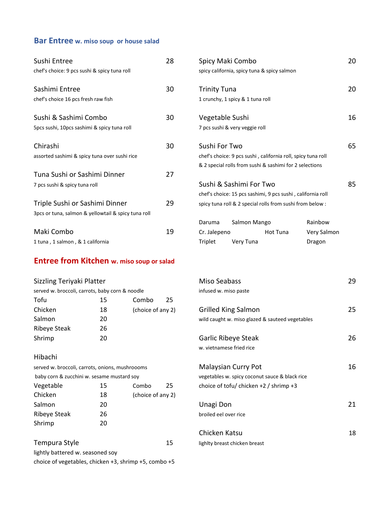## **Bar Entree w. miso soup or house salad**

| Sushi Entree                                        | 28 |                     | Spicy Maki Combo                                             |                 |             | 20 |
|-----------------------------------------------------|----|---------------------|--------------------------------------------------------------|-----------------|-------------|----|
| chef's choice: 9 pcs sushi & spicy tuna roll        |    |                     | spicy california, spicy tuna & spicy salmon                  |                 |             |    |
| Sashimi Entree                                      | 30 | <b>Trinity Tuna</b> |                                                              |                 |             | 20 |
| chef's choice 16 pcs fresh raw fish                 |    |                     | 1 crunchy, 1 spicy & 1 tuna roll                             |                 |             |    |
| Sushi & Sashimi Combo                               | 30 | Vegetable Sushi     |                                                              |                 |             | 16 |
| 5pcs sushi, 10pcs sashimi & spicy tuna roll         |    |                     | 7 pcs sushi & very veggie roll                               |                 |             |    |
| Chirashi                                            | 30 | Sushi For Two       |                                                              |                 |             | 65 |
| assorted sashimi & spicy tuna over sushi rice       |    |                     | chef's choice: 9 pcs sushi, california roll, spicy tuna roll |                 |             |    |
|                                                     |    |                     | & 2 special rolls from sushi & sashimi for 2 selections      |                 |             |    |
| Tuna Sushi or Sashimi Dinner                        | 27 |                     |                                                              |                 |             |    |
| 7 pcs sushi & spicy tuna roll                       |    |                     | Sushi & Sashimi For Two                                      |                 |             | 85 |
|                                                     |    |                     | chef's choice: 15 pcs sashimi, 9 pcs sushi, california roll  |                 |             |    |
| Triple Sushi or Sashimi Dinner                      | 29 |                     | spicy tuna roll & 2 special rolls from sushi from below :    |                 |             |    |
| 3pcs or tuna, salmon & yellowtail & spicy tuna roll |    |                     |                                                              |                 |             |    |
|                                                     |    | Daruma              | Salmon Mango                                                 |                 | Rainbow     |    |
| Maki Combo                                          | 19 | Cr. Jalepeno        |                                                              | <b>Hot Tuna</b> | Very Salmon |    |
| 1 tuna, 1 salmon, & 1 california                    |    | Triplet             | Very Tuna                                                    |                 | Dragon      |    |

## **Entree from Kitchen w. miso soup or salad**

|  |  |  |  |  | Sizzling Teriyaki Platter |  |
|--|--|--|--|--|---------------------------|--|
|--|--|--|--|--|---------------------------|--|

| served w. broccoli, carrots, baby corn & noodle |    |                   | infused w. miso paste                           |
|-------------------------------------------------|----|-------------------|-------------------------------------------------|
| Tofu                                            | 15 | Combo<br>25       |                                                 |
| Chicken                                         | 18 | (choice of any 2) | <b>Grilled King Salmon</b>                      |
| Salmon                                          | 20 |                   | wild caught w. miso glazed & sauteed vegetables |
| Ribeye Steak                                    | 26 |                   |                                                 |
| Shrimp                                          | 20 |                   | Garlic Ribeye Steak                             |

### Hibachi

| served w. broccoli, carrots, onions, mushroooms |    |                   |    | <b>Malaysian Curry Pot</b>                     |
|-------------------------------------------------|----|-------------------|----|------------------------------------------------|
| baby corn & zucchini w. sesame mustard soy      |    |                   |    | vegetables w. spicy coconut sauce & black rice |
| Vegetable                                       | 15 | Combo             | 25 | choice of tofu/chicken +2 / shrimp +3          |
| Chicken                                         | 18 | (choice of any 2) |    |                                                |
| Salmon                                          | 20 |                   |    | Unagi Don                                      |
| <b>Ribeye Steak</b>                             | 26 |                   |    | broiled eel over rice                          |
| Shrimp                                          | 20 |                   |    |                                                |
|                                                 |    |                   |    | Chicken Katsu                                  |

| Tempura Style                                                 | 15 | lighlty breast chicken breast |
|---------------------------------------------------------------|----|-------------------------------|
| lightly battered w. seasoned soy                              |    |                               |
| choice of vegetables, chicken $+3$ , shrimp $+5$ , combo $+5$ |    |                               |

|                                                     |    |                   |    |                       |                            | & 2 special rolls from sushi & sashimi for 2 selections     |             |    |
|-----------------------------------------------------|----|-------------------|----|-----------------------|----------------------------|-------------------------------------------------------------|-------------|----|
| Tuna Sushi or Sashimi Dinner                        |    |                   | 27 |                       |                            |                                                             |             |    |
| 7 pcs sushi & spicy tuna roll                       |    |                   |    |                       | Sushi & Sashimi For Two    |                                                             |             | 85 |
|                                                     |    |                   |    |                       |                            | chef's choice: 15 pcs sashimi, 9 pcs sushi, california roll |             |    |
| Triple Sushi or Sashimi Dinner                      |    |                   | 29 |                       |                            | spicy tuna roll & 2 special rolls from sushi from below :   |             |    |
| 3pcs or tuna, salmon & yellowtail & spicy tuna roll |    |                   |    |                       |                            |                                                             |             |    |
|                                                     |    |                   |    | Daruma                | Salmon Mango               |                                                             | Rainbow     |    |
| Maki Combo                                          |    |                   | 19 | Cr. Jalepeno          |                            | Hot Tuna                                                    | Very Salmon |    |
| 1 tuna, 1 salmon, & 1 california                    |    |                   |    | Triplet               | Very Tuna                  |                                                             | Dragon      |    |
| <b>Entree from Kitchen w. miso soup or salad</b>    |    |                   |    |                       |                            |                                                             |             |    |
| Sizzling Teriyaki Platter                           |    |                   |    | <b>Miso Seabass</b>   |                            |                                                             |             | 29 |
| served w. broccoli, carrots, baby corn & noodle     |    |                   |    | infused w. miso paste |                            |                                                             |             |    |
| Tofu                                                | 15 | Combo             | 25 |                       |                            |                                                             |             |    |
| Chicken                                             | 18 | (choice of any 2) |    |                       | <b>Grilled King Salmon</b> |                                                             |             | 25 |
| Salmon                                              | 20 |                   |    |                       |                            | wild caught w. miso glazed & sauteed vegetables             |             |    |
| <b>Ribeye Steak</b>                                 | 26 |                   |    |                       |                            |                                                             |             |    |
| Shrimp                                              | 20 |                   |    |                       | Garlic Ribeye Steak        |                                                             |             | 26 |
|                                                     |    |                   |    |                       | w. vietnamese fried rice   |                                                             |             |    |
| Hibachi                                             |    |                   |    |                       |                            |                                                             |             |    |
| served w. broccoli, carrots, onions, mushroooms     |    |                   |    |                       | Malaysian Curry Pot        |                                                             |             | 16 |
| baby corn & zucchini w. sesame mustard soy          |    |                   |    |                       |                            | vegetables w. spicy coconut sauce & black rice              |             |    |
| Vegetable                                           | 15 | Combo             | 25 |                       |                            | choice of tofu/chicken +2 / shrimp +3                       |             |    |
| Chicken                                             | 18 | (choice of any 2) |    |                       |                            |                                                             |             |    |
| Salmon                                              | 20 |                   |    | Unagi Don             |                            |                                                             |             | 21 |
| <b>Ribeye Steak</b>                                 | 26 |                   |    | broiled eel over rice |                            |                                                             |             |    |
| Shrimp                                              | 20 |                   |    |                       |                            |                                                             |             |    |
|                                                     |    |                   |    | Chicken Katsu         |                            |                                                             |             | 18 |
|                                                     |    |                   |    |                       |                            |                                                             |             |    |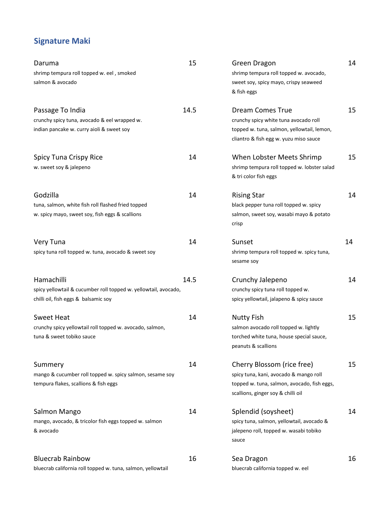# **Signature Maki**

| Daruma                                                          | 15   | Green Dragon                                    | 14 |
|-----------------------------------------------------------------|------|-------------------------------------------------|----|
| shrimp tempura roll topped w. eel, smoked                       |      | shrimp tempura roll topped w. avocado,          |    |
| salmon & avocado                                                |      | sweet soy, spicy mayo, crispy seaweed           |    |
|                                                                 |      | & fish eggs                                     |    |
| Passage To India                                                | 14.5 | <b>Dream Comes True</b>                         | 15 |
| crunchy spicy tuna, avocado & eel wrapped w.                    |      | crunchy spicy white tuna avocado roll           |    |
| indian pancake w. curry aioli & sweet soy                       |      | topped w. tuna, salmon, yellowtail, lemon,      |    |
|                                                                 |      | cliantro & fish egg w. yuzu miso sauce          |    |
| <b>Spicy Tuna Crispy Rice</b>                                   | 14   | When Lobster Meets Shrimp                       | 15 |
| w. sweet soy & jalepeno                                         |      | shrimp tempura roll topped w. lobster salad     |    |
|                                                                 |      | & tri color fish eggs                           |    |
| Godzilla                                                        | 14   | <b>Rising Star</b>                              | 14 |
| tuna, salmon, white fish roll flashed fried topped              |      | black pepper tuna roll topped w. spicy          |    |
| w. spicy mayo, sweet soy, fish eggs & scallions                 |      | salmon, sweet soy, wasabi mayo & potato         |    |
|                                                                 |      | crisp                                           |    |
| Very Tuna                                                       | 14   | Sunset                                          | 14 |
| spicy tuna roll topped w. tuna, avocado & sweet soy             |      | shrimp tempura roll topped w. spicy tuna,       |    |
|                                                                 |      | sesame soy                                      |    |
| Hamachilli                                                      | 14.5 | Crunchy Jalepeno                                | 14 |
| spicy yellowtail & cucumber roll topped w. yellowtail, avocado, |      | crunchy spicy tuna roll topped w.               |    |
| chilli oil, fish eggs & balsamic soy                            |      | spicy yellowtail, jalapeno & spicy sauce        |    |
| Sweet Heat                                                      | 14   | <b>Nutty Fish</b>                               | 15 |
| crunchy spicy yellowtail roll topped w. avocado, salmon,        |      | salmon avocado roll topped w. lightly           |    |
| tuna & sweet tobiko sauce                                       |      | torched white tuna, house special sauce,        |    |
|                                                                 |      | peanuts & scallions                             |    |
| Summery                                                         | 14   | Cherry Blossom (rice free)                      | 15 |
| mango & cucumber roll topped w. spicy salmon, sesame soy        |      | spicy tuna, kani, avocado & mango roll          |    |
| tempura flakes, scallions & fish eggs                           |      | topped w. tuna, salmon, avocado, fish eggs,     |    |
|                                                                 |      | scallions, ginger soy & chilli oil              |    |
| Salmon Mango                                                    | 14   | Splendid (soysheet)                             | 14 |
| mango, avocado, & tricolor fish eggs topped w. salmon           |      | spicy tuna, salmon, yellowtail, avocado &       |    |
| & avocado                                                       |      | jalepeno roll, topped w. wasabi tobiko<br>sauce |    |
| <b>Bluecrab Rainbow</b>                                         | 16   | Sea Dragon                                      | 16 |
| bluecrab california roll topped w. tuna, salmon, yellowtail     |      | bluecrab california topped w. eel               |    |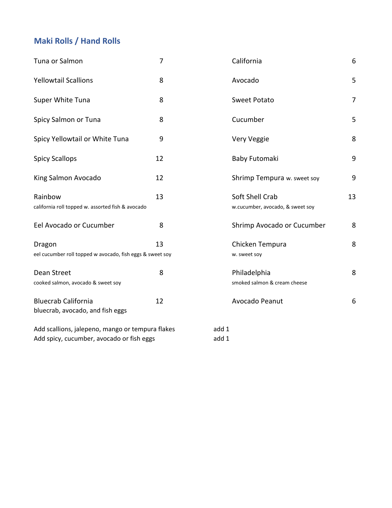# **Maki Rolls / Hand Rolls**

| Tuna or Salmon                                                                                | $\overline{7}$ | California                                          | 6              |
|-----------------------------------------------------------------------------------------------|----------------|-----------------------------------------------------|----------------|
| <b>Yellowtail Scallions</b>                                                                   | 8              | Avocado                                             | 5              |
| Super White Tuna                                                                              | 8              | <b>Sweet Potato</b>                                 | $\overline{7}$ |
| Spicy Salmon or Tuna                                                                          | 8              | Cucumber                                            | 5              |
| Spicy Yellowtail or White Tuna                                                                | 9              | Very Veggie                                         | 8              |
| <b>Spicy Scallops</b>                                                                         | 12             | Baby Futomaki                                       | 9              |
| King Salmon Avocado                                                                           | 12             | Shrimp Tempura w. sweet soy                         | 9              |
| Rainbow<br>california roll topped w. assorted fish & avocado                                  | 13             | Soft Shell Crab<br>w.cucumber, avocado, & sweet soy | 13             |
| Eel Avocado or Cucumber                                                                       | 8              | Shrimp Avocado or Cucumber                          | 8              |
| Dragon<br>eel cucumber roll topped w avocado, fish eggs & sweet soy                           | 13             | Chicken Tempura<br>w. sweet soy                     | 8              |
| Dean Street<br>cooked salmon, avocado & sweet soy                                             | 8              | Philadelphia<br>smoked salmon & cream cheese        | 8              |
| <b>Bluecrab California</b><br>bluecrab, avocado, and fish eggs                                | 12             | Avocado Peanut                                      | 6              |
| Add scallions, jalepeno, mango or tempura flakes<br>Add spicy, cucumber, avocado or fish eggs |                | add 1<br>add 1                                      |                |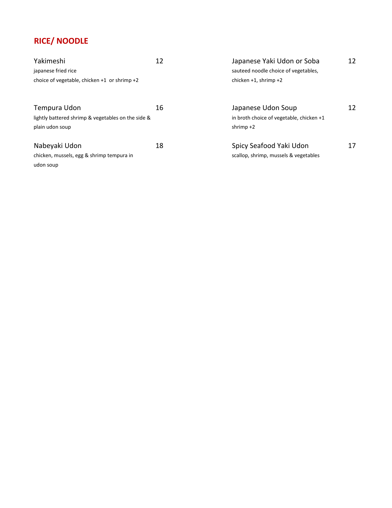# **RICE/ NOODLE**

| Yakimeshi                                          | 12 | Japanese Yaki Udon or Soba               | 12 |
|----------------------------------------------------|----|------------------------------------------|----|
| japanese fried rice                                |    | sauteed noodle choice of vegetables,     |    |
| choice of vegetable, chicken $+1$ or shrimp $+2$   |    | chicken $+1$ , shrimp $+2$               |    |
| Tempura Udon                                       | 16 | Japanese Udon Soup                       | 12 |
| lightly battered shrimp & vegetables on the side & |    | in broth choice of vegetable, chicken +1 |    |
| plain udon soup                                    |    | shrimp $+2$                              |    |
| Nabeyaki Udon                                      | 18 | Spicy Seafood Yaki Udon                  | 17 |
| chicken, mussels, egg & shrimp tempura in          |    | scallop, shrimp, mussels & vegetables    |    |
| udon soup                                          |    |                                          |    |